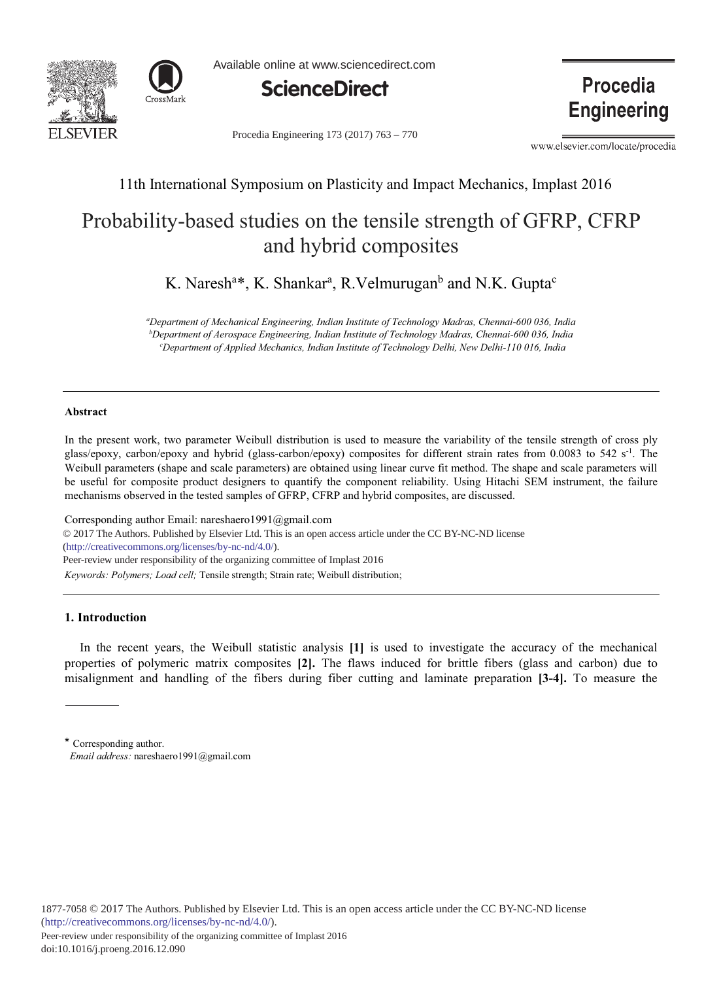



Available online at www.sciencedirect.com



Procedia Engineering 173 (2017) 763 - 770

**Procedia Engineering** 

www.elsevier.com/locate/procedia

## 11th International Symposium on Plasticity and Impact Mechanics, Implast 2016

# Probability-based studies on the tensile strength of GFRP, CFRP and hybrid composites

K. Naresh<sup>a\*</sup>, K. Shankar<sup>a</sup>, R. Velmurugan<sup>b</sup> and N.K. Gupta<sup>c</sup>

*- - 
- 
- - -- - - <sup>b</sup>Department of Aerospace Engineering, Indian Institute of Technology Madras, Chennai-600 036, India C* Department of Applied Mechanics, Indian Institute of Technology Delhi, New Delhi-110 016, India

#### **-**

In the present work, two parameter Weibull distribution is used to measure the variability of the tensile strength of cross ply glass/epoxy, carbon/epoxy and hybrid (glass-carbon/epoxy) composites for different strain rates from 0.0083 to 542  $s<sup>-1</sup>$ . The Weibull parameters (shape and scale parameters) are obtained using linear curve fit method. The shape and scale parameters will be useful for composite product designers to quantify the component reliability. Using Hitachi SEM instrument, the failure mechanisms observed in the tested samples of GFRP, CFRP and hybrid composites, are discussed.

Corresponding author Email: nareshaero1991@gmail.com © 2017 The Authors. Published by Elsevier Ltd. This is an open access article under the CC BY-NC-ND license (http://creativecommons.org/licenses/by-nc-nd/4.0/). Keywords: Polymers; Load cell; Tensile strength; Strain rate; Weibull distribution; Peer-review under responsibility of the organizing committee of Implast 2016

### 1. Introduction

In the recent years, the Weibull statistic analysis [1] is used to investigate the accuracy of the mechanical properties of polymeric matrix composites [2]. The flaws induced for brittle fibers (glass and carbon) due to misalignment and handling of the fibers during fiber cutting and laminate preparation [3-4]. To measure the

<sup>\*</sup> Corresponding author. *Email address:* nareshaero1991@gmail.com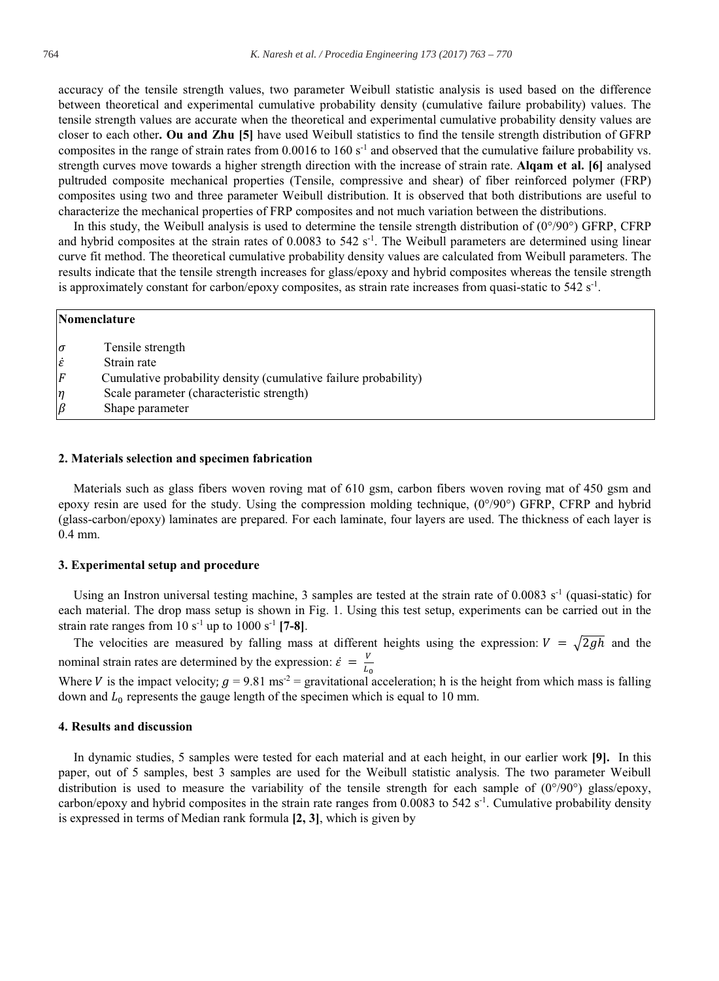accuracy of the tensile strength values, two parameter Weibull statistic analysis is used based on the difference between theoretical and experimental cumulative probability density (cumulative failure probability) values. The tensile strength values are accurate when the theoretical and experimental cumulative probability density values are closer to each other. Ou and Zhu [5] have used Weibull statistics to find the tensile strength distribution of GFRP composites in the range of strain rates from 0.0016 to 160  $s<sup>-1</sup>$  and observed that the cumulative failure probability vs. strength curves move towards a higher strength direction with the increase of strain rate. Algam et al. [6] analysed pultruded composite mechanical properties (Tensile, compressive and shear) of fiber reinforced polymer (FRP) composites using two and three parameter Weibull distribution. It is observed that both distributions are useful to characterize the mechanical properties of FRP composites and not much variation between the distributions.

In this study, the Weibull analysis is used to determine the tensile strength distribution of  $(0^{\circ}/90^{\circ})$  GFRP, CFRP and hybrid composites at the strain rates of 0.0083 to 542  $s<sup>-1</sup>$ . The Weibull parameters are determined using linear curve fit method. The theoretical cumulative probability density values are calculated from Weibull parameters. The results indicate that the tensile strength increases for glass/epoxy and hybrid composites whereas the tensile strength is approximately constant for carbon/epoxy composites, as strain rate increases from quasi-static to 542  $s<sup>-1</sup>$ .

|                     | Nomenclature                                                    |  |  |  |  |  |
|---------------------|-----------------------------------------------------------------|--|--|--|--|--|
| $\sigma$            | Tensile strength                                                |  |  |  |  |  |
| $\dot{\mathcal{E}}$ | Strain rate                                                     |  |  |  |  |  |
| $\overline{F}$      | Cumulative probability density (cumulative failure probability) |  |  |  |  |  |
| η                   | Scale parameter (characteristic strength)                       |  |  |  |  |  |
| $\beta$             | Shape parameter                                                 |  |  |  |  |  |

#### 2. Materials selection and specimen fabrication

Materials such as glass fibers woven roving mat of 610 gsm, carbon fibers woven roving mat of 450 gsm and epoxy resin are used for the study. Using the compression molding technique,  $(0^{\circ}/90^{\circ})$  GFRP, CFRP and hybrid (glass-carbon/epoxy) laminates are prepared. For each laminate, four layers are used. The thickness of each layer is  $0.4$  mm.

#### 3. Experimental setup and procedure

Using an Instron universal testing machine, 3 samples are tested at the strain rate of 0.0083  $s^{-1}$  (quasi-static) for each material. The drop mass setup is shown in Fig. 1. Using this test setup, experiments can be carried out in the strain rate ranges from 10 s<sup>-1</sup> up to 1000 s<sup>-1</sup> [7-8].

The velocities are measured by falling mass at different heights using the expression:  $V = \sqrt{2gh}$  and the nominal strain rates are determined by the expression:  $\dot{\varepsilon} = \frac{V}{I_0}$ 

Where V is the impact velocity;  $g = 9.81 \text{ ms}^2 =$  gravitational acceleration; h is the height from which mass is falling down and  $L_0$  represents the gauge length of the specimen which is equal to 10 mm.

#### 4. Results and discussion

In dynamic studies, 5 samples were tested for each material and at each height, in our earlier work [9]. In this paper, out of 5 samples, best 3 samples are used for the Weibull statistic analysis. The two parameter Weibull distribution is used to measure the variability of the tensile strength for each sample of  $(0^{\circ}/90^{\circ})$  glass/epoxy, carbon/epoxy and hybrid composites in the strain rate ranges from 0.0083 to 542 s<sup>-1</sup>. Cumulative probability density is expressed in terms of Median rank formula [2, 3], which is given by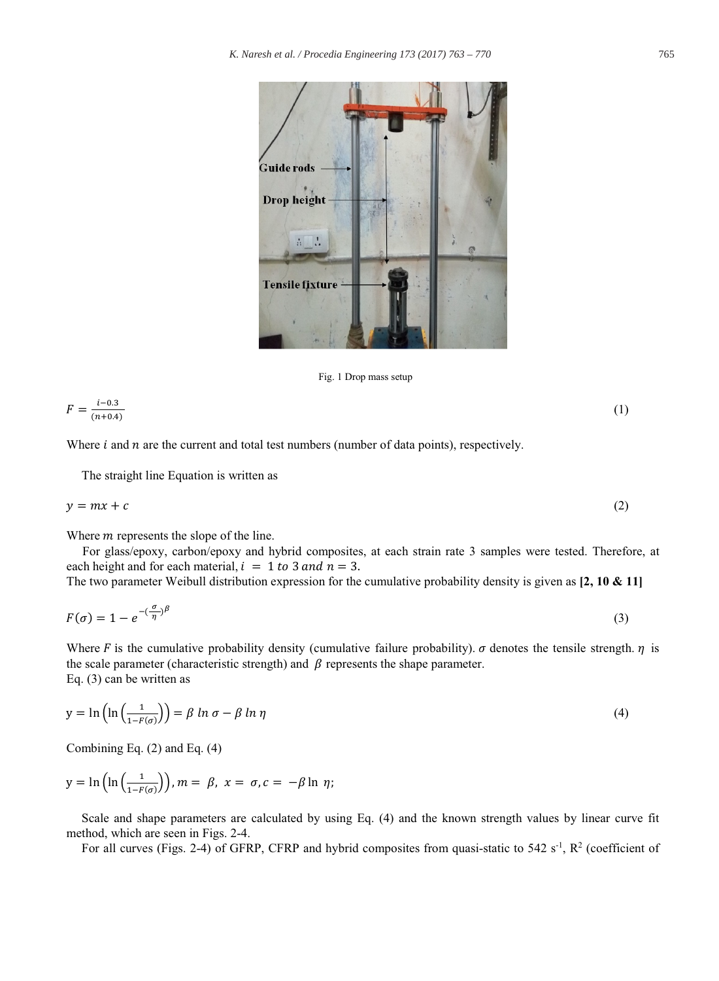

Fig. 1 Drop mass setup

$$
F = \frac{i - 0.3}{(n + 0.4)}\tag{1}
$$

Where  $i$  and  $n$  are the current and total test numbers (number of data points), respectively.

The straight line Equation is written as

$$
y = mx + c \tag{2}
$$

Where  $m$  represents the slope of the line.

For glass/epoxy, carbon/epoxy and hybrid composites, at each strain rate 3 samples were tested. Therefore, at each height and for each material,  $i = 1$  to 3 and  $n = 3$ .

The two parameter Weibull distribution expression for the cumulative probability density is given as  $[2, 10 \& 11]$ 

$$
F(\sigma) = 1 - e^{-(\frac{\sigma}{\eta})\beta} \tag{3}
$$

Where F is the cumulative probability density (cumulative failure probability).  $\sigma$  denotes the tensile strength.  $\eta$  is the scale parameter (characteristic strength) and  $\beta$  represents the shape parameter. Eq.  $(3)$  can be written as

$$
y = \ln\left(\ln\left(\frac{1}{1 - F(\sigma)}\right)\right) = \beta \ln \sigma - \beta \ln \eta \tag{4}
$$

Combining Eq.  $(2)$  and Eq.  $(4)$ 

$$
y = \ln\left(\ln\left(\frac{1}{1 - F(\sigma)}\right)\right), m = \beta, x = \sigma, c = -\beta \ln \eta;
$$

Scale and shape parameters are calculated by using Eq. (4) and the known strength values by linear curve fit method, which are seen in Figs. 2-4.

For all curves (Figs. 2-4) of GFRP, CFRP and hybrid composites from quasi-static to 542  $s^{-1}$ ,  $R^2$  (coefficient of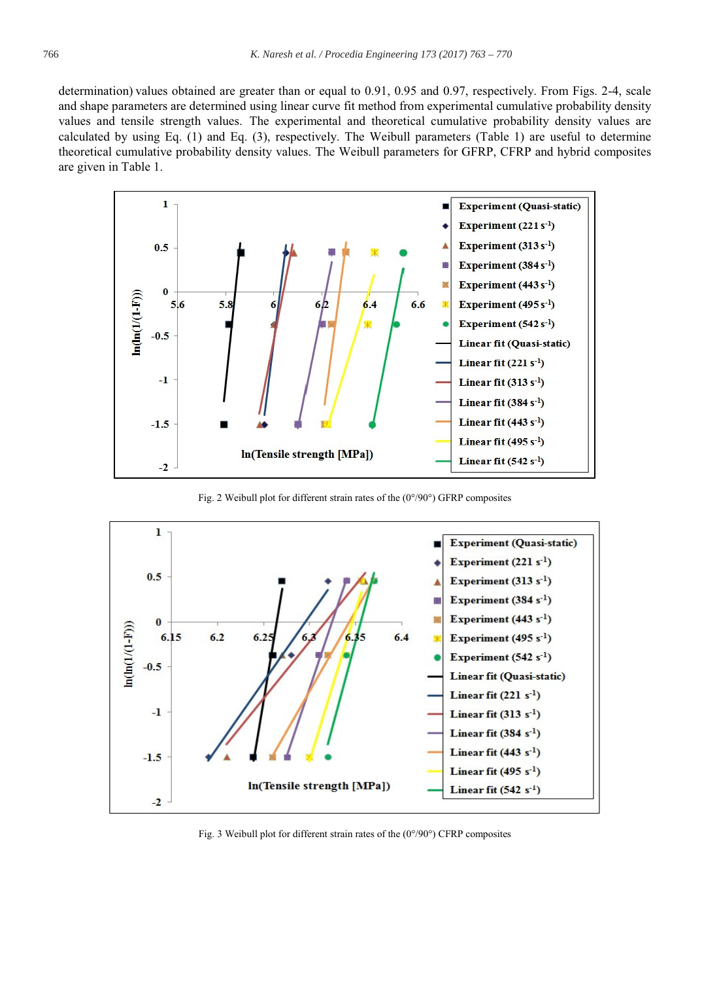determination) values obtained are greater than or equal to 0.91, 0.95 and 0.97, respectively. From Figs. 2-4, scale and shape parameters are determined using linear curve fit method from experimental cumulative probability density values and tensile strength values. The experimental and theoretical cumulative probability density values are calculated by using Eq. (1) and Eq. (3), respectively. The Weibull parameters (Table 1) are useful to determine theoretical cumulative probability density values. The Weibull parameters for GFRP, CFRP and hybrid composites are given in Table 1.



Fig. 2 Weibull plot for different strain rates of the  $(0^{\circ}/90^{\circ})$  GFRP composites



Fig. 3 Weibull plot for different strain rates of the  $(0^{\circ}/90^{\circ})$  CFRP composites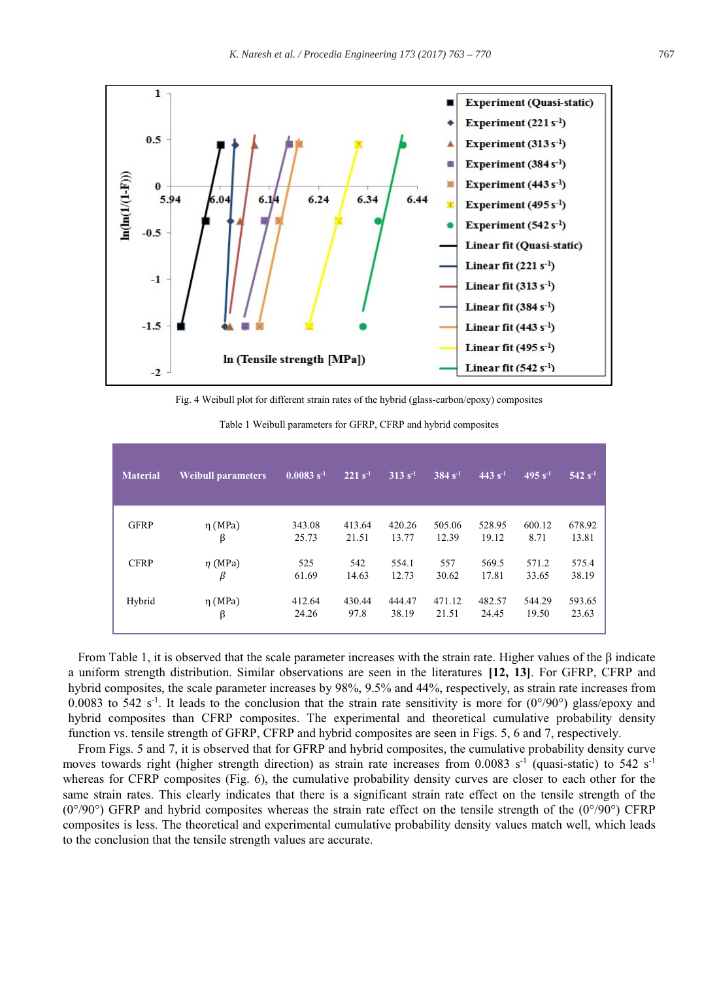

Fig. 4 Weibull plot for different strain rates of the hybrid (glass-carbon/epoxy) composites

| <b>Material</b> | <b>Weibull parameters</b> | $0.0083 s^{-1}$ | $221 s^{-1}$ | $313 s-1$ | $384 s^{-1}$ | $443 s^{-1}$ | $495 s^{-1}$ | $542 s^{-1}$ |
|-----------------|---------------------------|-----------------|--------------|-----------|--------------|--------------|--------------|--------------|
| <b>GFRP</b>     | $\eta$ (MPa)              | 343.08          | 413.64       | 420.26    | 505.06       | 528.95       | 600.12       | 678.92       |
|                 | β                         | 25.73           | 21.51        | 13.77     | 12.39        | 19.12        | 8.71         | 13.81        |
| <b>CFRP</b>     | $\eta$ (MPa)              | 525             | 542          | 554.1     | 557          | 569.5        | 571.2        | 575.4        |
|                 | β                         | 61.69           | 14.63        | 12.73     | 30.62        | 17.81        | 33.65        | 38.19        |
| Hybrid          | $\eta$ (MPa)              | 412.64          | 430.44       | 444.47    | 471.12       | 482.57       | 544.29       | 593.65       |
|                 | β                         | 24.26           | 97.8         | 38.19     | 21.51        | 24.45        | 19.50        | 23.63        |

Table 1 Weibull parameters for GFRP, CFRP and hybrid composites

From Table 1, it is observed that the scale parameter increases with the strain rate. Higher values of the  $\beta$  indicate a uniform strength distribution. Similar observations are seen in the literatures [12, 13]. For GFRP, CFRP and hybrid composites, the scale parameter increases by 98%, 9.5% and 44%, respectively, as strain rate increases from 0.0083 to 542 s<sup>-1</sup>. It leads to the conclusion that the strain rate sensitivity is more for  $(0^{\circ}/90^{\circ})$  glass/epoxy and hybrid composites than CFRP composites. The experimental and theoretical cumulative probability density function vs. tensile strength of GFRP, CFRP and hybrid composites are seen in Figs. 5, 6 and 7, respectively.

From Figs. 5 and 7, it is observed that for GFRP and hybrid composites, the cumulative probability density curve moves towards right (higher strength direction) as strain rate increases from 0.0083  $s^{-1}$  (quasi-static) to 542  $s^{-1}$ whereas for CFRP composites (Fig. 6), the cumulative probability density curves are closer to each other for the same strain rates. This clearly indicates that there is a significant strain rate effect on the tensile strength of the  $(0^{\circ}/90^{\circ})$  GFRP and hybrid composites whereas the strain rate effect on the tensile strength of the  $(0^{\circ}/90^{\circ})$  CFRP composites is less. The theoretical and experimental cumulative probability density values match well, which leads to the conclusion that the tensile strength values are accurate.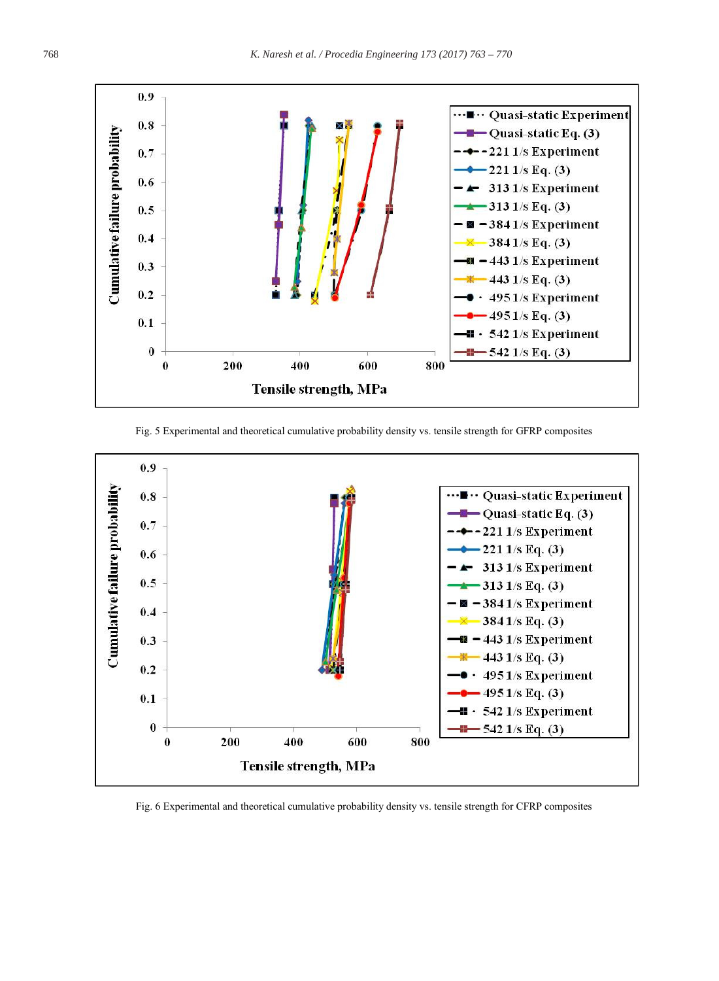

Fig. 5 Experimental and theoretical cumulative probability density vs. tensile strength for GFRP composites



Fig. 6 Experimental and theoretical cumulative probability density vs. tensile strength for CFRP composites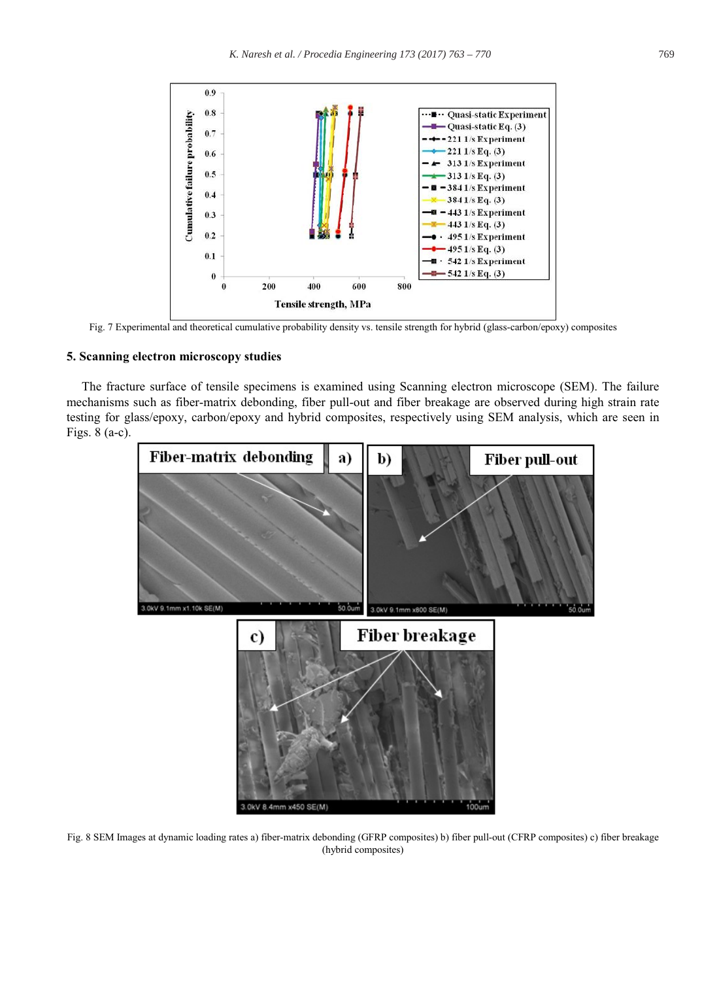

Fig. 7 Experimental and theoretical cumulative probability density vs. tensile strength for hybrid (glass-carbon/epoxy) composites

#### 5. Scanning electron microscopy studies

The fracture surface of tensile specimens is examined using Scanning electron microscope (SEM). The failure mechanisms such as fiber-matrix debonding, fiber pull-out and fiber breakage are observed during high strain rate testing for glass/epoxy, carbon/epoxy and hybrid composites, respectively using SEM analysis, which are seen in Figs.  $8$  (a-c).



Fig. 8 SEM Images at dynamic loading rates a) fiber-matrix debonding (GFRP composites) b) fiber pull-out (CFRP composites) c) fiber breakage (hybrid composites)